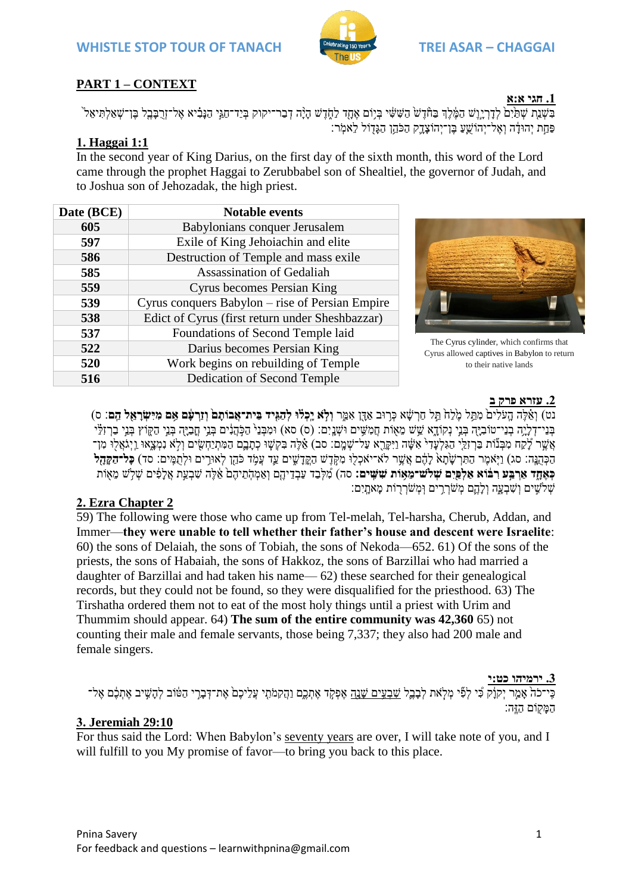

# **PART 1 – CONTEXT**

בִּשְׁנַת שָׁתַּיִם לְדִרְיְוֵשׁ הַמֶּ֫לֶךְ בַחָּ֫דָשׁ הַשִּׁשִּׁי בְּיִוֹּם אֶחָד לַחָדָשׁ ה<sup>ָנָ</sup>ה דְּבָר־חַגֵּי הַנִּבְיא אֶל־זְרִבְּבֵל בֵּן־שָׁאֲלִתִּיאֶל ו ּפַּחַת יְהוּדָּה וְאֶל־יְהוֹשֵֻעַ בֶּן־יְהוֹצָדֶק הַכֹּהֵן הַגָּדָוֹל לֵאמְר:

# **1. Haggai 1:1**

In the second year of King Darius, on the first day of the sixth month, this word of the Lord came through the prophet Haggai to Zerubbabel son of Shealtiel, the governor of Judah, and to Joshua son of Jehozadak, the high priest.

| Date (BCE) | <b>Notable events</b>                           |  |  |
|------------|-------------------------------------------------|--|--|
| 605        | Babylonians conquer Jerusalem                   |  |  |
| 597        | Exile of King Jehoiachin and elite              |  |  |
| 586        | Destruction of Temple and mass exile            |  |  |
| 585        | Assassination of Gedaliah                       |  |  |
| 559        | Cyrus becomes Persian King                      |  |  |
| 539        | Cyrus conquers Babylon – rise of Persian Empire |  |  |
| 538        | Edict of Cyrus (first return under Sheshbazzar) |  |  |
| 537        | Foundations of Second Temple laid               |  |  |
| 522        | Darius becomes Persian King                     |  |  |
| 520        | Work begins on rebuilding of Temple             |  |  |
| 516        | Dedication of Second Temple                     |  |  |



The Cyrus cylinder, which confirms that Cyrus allowed captives in Babylon to return to their native lands

### **.2 עזרא פרק ב**

נט) וְאֶלֶה הַעֹּלִים מְתֵּל מֶלָח תֵּל חַרְשָׁא כְּרוּב אֲדֵן אָמֵר **וְלָא יַכְלֹוּ לְהַגִּיד בֵּית־אֲבוֹתֵם וְזֵרעִם אִם מִיִּשְׂרַאֲל הֵם**: ס) בְּנֵי־דְלָיָה בְּנֵי־טוֹבְיָּה בְּנֵי נִקוֹדָא שֵׁשׁ מֵאָוֹת חֲמִשֵּׁים וּשָׁנֵיִם: (ס) סא) וּמִבְּנֵ<sup>נ</sup> הַכְּהָנִים בְּנֵי חֲכֵיַה בְּנֵי הַקְּוֹץ בְּנֵי בַרְזִלָּ֖י ָאֲשֶר לָקַח מִבְּנוֹת בַּרְזַלֵי הַגִּלְעָדִי אִשָּׁה וַיִּקְרֵא עַל־שָׁמֶם: סב) אֵ֫לֶה בִּקְשָׁוּ כְתָבֶם הַמִּתְיַחְשִׂים וְלָא נִמְצָאוּ וַיְגֹאֲלוּ מִן־ הַכָּהְנֵּה: סג) וַיָּאמֶר הַתְּרְשַׂתֲא לַהֶם אֲשֶׁר לֹא־יֹאכְלוּ מְקֶדָשׁ הַקֵּדְשִׁים עֵד עֲמֹד כֹּהֶן לְאוּרֵים וּלְתְמֵים: סד) **כָּל־הַקֶּהֶל ְכְאֶחָד אַרְבֵּע רִבּ֫וֹא אַלְפֵּיִם שִׁלִש־מֵאָוֹת שִׁשִּׁיִם:** סה) מִלְבַד עַבְדֵיהֵם וְאַמְהָתֵיהֶם אֵלְה שִׁבְעֵת אֲלִפִּים שָׁלִשׁ מֵאָוֹת ַ שְׁלְשִׁים וְשְׁבְעֲה וְלָהֱם מְשִׂרְרִים וְּמְשֹׁרְרִוֹת מַאתֲיִם:

# **2. Ezra Chapter 2**

59) The following were those who came up from Tel-melah, Tel-harsha, Cherub, Addan, and Immer—**they were unable to tell whether their father's house and descent were Israelite**: 60) the sons of Delaiah, the sons of Tobiah, the sons of Nekoda—652. 61) Of the sons of the priests, the sons of Habaiah, the sons of Hakkoz, the sons of Barzillai who had married a daughter of Barzillai and had taken his name— 62) these searched for their genealogical records, but they could not be found, so they were disqualified for the priesthood. 63) The Tirshatha ordered them not to eat of the most holy things until a priest with Urim and Thummim should appear. 64) **The sum of the entire community was 42,360** 65) not counting their male and female servants, those being 7,337; they also had 200 male and female singers.

#### **.3 ירמיהו כט:י**

כִּי־כֹה אָמַר יְקוַ֫ק כִּי לְפִֿי מְלָאת לִבְבֶל <u>שִׁבְעֵים שָׁנָה</u> אֶפְקָד אֶתְגֶם וַהֲקִמֹתֶי עֲלֵיכֶם אֶת־דְּבָרִי הַטּּוֹב לְהָשִִיב אֶתְבֶם אֶל־ . המִקוֹם הזה

## **3. Jeremiah 29:10**

For thus said the Lord: When Babylon's seventy years are over, I will take note of you, and I will fulfill to you My promise of favor—to bring you back to this place.

#### **.1 חגי א:א**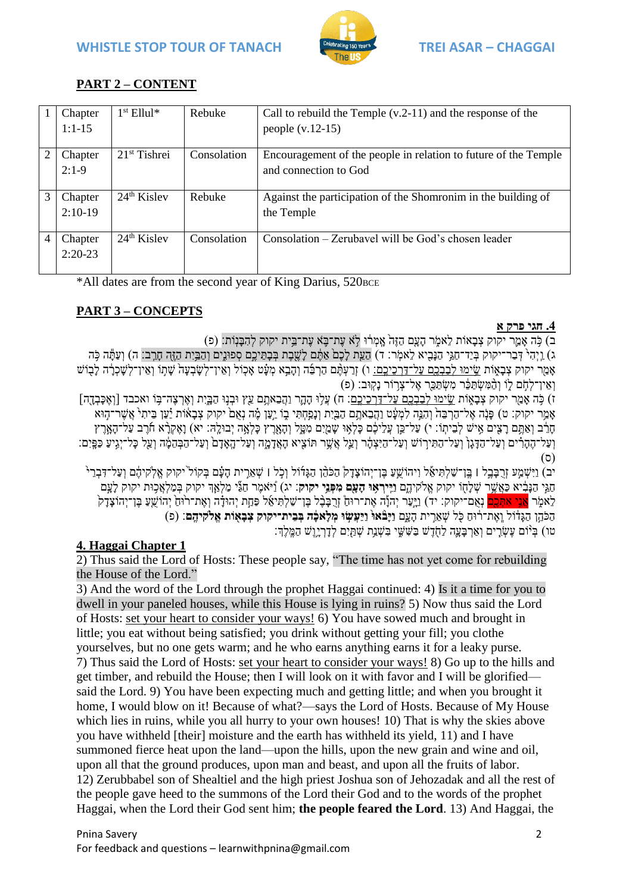

# **PART 2 – CONTENT**

|                | Chapter   | $1st$ Ellul <sup>*</sup> | Rebuke      | Call to rebuild the Temple $(v.2-11)$ and the response of the   |
|----------------|-----------|--------------------------|-------------|-----------------------------------------------------------------|
|                | $1:1-15$  |                          |             | people $(v.12-15)$                                              |
| $\overline{2}$ | Chapter   | $21st$ Tishrei           | Consolation | Encouragement of the people in relation to future of the Temple |
|                | $2:1-9$   |                          |             | and connection to God                                           |
| 3              | Chapter   | $24th$ Kislev            | Rebuke      | Against the participation of the Shomronim in the building of   |
|                | $2:10-19$ |                          |             | the Temple                                                      |
| 4              | Chapter   | $24th$ Kislev            | Consolation | Consolation – Zerubavel will be God's chosen leader             |
|                | $2:20-23$ |                          |             |                                                                 |
|                |           |                          |             |                                                                 |

\*All dates are from the second year of King Darius, 520 BCE

# **PART 3 – CONCEPTS**

### **.4 חגי פרק א**

ב) כָּה אֲמֵר יקוק צְבָאוֹת לֵאמֶר הַעֲם הָזֶה אֲמְרֹוּ לְא עֲת־בֵּא עֲת־בֵּית יקוק לְהָבַּנִוֹת: (פ)

ג) וַיְהָיֹ דְּבַר־יקוק בְּיַד־חַגֵּי הַנִּבְיא לָאמֹר: ד) הַעֵּת לִכָם אַתֶּם לֹשֶׁבֶת בִּתֵּיכֵם סְפוּנֵים וְהַבֵּיִת הַזֶּה חִרֶב׃ ה) וְעַתֶּה כִּה אָמַר יקוק צְבָאָוֹת שֵׂימוּ לְבַבְבֵם עַל־דַרְכֵיכֶם: ו) זְרַעָּהֶם הַרְבָּה וְהָבֵא מְעָ֫ט אָכְוֹל וְאֵין־לְשַׁבְעַה שַׁתְּוֹ וְאֵין־לְשַׁכְרָה לַבְוֹש וְאֵין־לָהָם לַוֹ וְהָמְּשָׂתַּבֶּר מְּשָׂתַּבֵּ֑ר אֱל־צָרִוֹר נַקְוּב׃ (פ)

ז) כִּה אֲמַר יקוק צִבַאָוֹת <u>שֵׂימוּ לְבַבְבֵם עַל־דַרְכִיכֶם</u>: ח) עֲלִוּ הָהֶָר וַהֲבֵאתֶם עֵאָ וּבְנִוּ הַבָּיֶת וְאֶרְצֶה־בָּוֹ ואכבד [וְאֶכְּבְדֶה] אָמַר יקוק: ט) פָּנָה אֶל־הַרְבֵּה וְהִגֵּה לִמְעָּׂט וַהֲבֵאתֶם הַבַּיָת וְנָפַחְתִּי בֶוֹ יַעֲן מֶ֫ה נְאֲםׂ יקוק צְבָאוֹת יַעַן בֵיתִי אֲשֶר־הָוּא חָרֵּב נְאַתֶּם רָצִים אִישׁ לְבֵיתְוֹ: י) עַל־כֵּן עֲלֵיכֶם כָּלְאָוּ שָׁמַיִם מִמֶל וְהָאָרֶץ כָּלְאֶה יְבוּלֶה: יא) וָאֶקְרָ֫א חוֹרָב עַל־הָאָרֶץ וְעַל־הֶהָרִים וְעַל־הַדָּגָן וְעַל־הַתִּירוֹשׁ וְעַל־הַיִּצְתָׂר וְעַל אֲשֶׁר תּוֹצִיא הָאֲדָמֶה וְעַל־הַגְּהָמֶה וְעַל כָּל־יִגְיעַ כַּפֵּיִם: )ס(

יב) וַיִּשְׁמֵע זַרְבַּבֵל | בֵּו־שַׁלְתִּיאֶל וַיהוֹשֵׁעַ בֵּו־יָהוֹצדק הַכֹּהֶן הַגּדוֹל וְכָל | שָׁאֵרִית העִם בְּקוֹל יקוק אֱלֹקִיהֶם וְעַל־דָּבְרִי חַגַ י הַנָ בִֶּּ֔ יא כַאֲשֶ ֥ ר שְׁ לָחָ֖ ֹו יקוק אֱלקיהֶ ֹ֑ם **ַוִָֽייְרִ֥אּו ָהֵָ֖עם ִמ ְפִֵּ֥ני יקוק**׃ יג( וַָ֠ י אמֶ ר חַגַ֞ י מַ לְׁאַ ְֻׁ֧ך יקוק בְׁ מַ לְׁאֲכ֥ ּות יקוק לָעָ ם לֵאמָר <mark>אֲנֵי אִתְּכֵם</mark> נְאָם־יקוק: יד) וַיַּעַר יִהוַ֫ה אֶת־רוּחַ וְרָכַּבֶּל בֶּן־שַׁלִתְיאֵ⁄ל פַּחַת יְהוּדָ֫ה וְאֶת־רוּחַ יְהוֹשֵׁעַ בֵן־יִהוֹצַדַק הַכֹּהֵן הַגַּדְוֹל וְאֶת־רֹוּחַ כְּל שָׁאֵרִית הַעֲם **וַיַּבْאוּ וַיַּעֲשִׂוּ מְלַאכֶּה בְּבֵית־יקוק צִבָאוֹת אֱלֹקיהֱם**׃ (פ) ֿוֹם עֲשָׂרֵים וְאַרְבַּעֱה לַחָדָשׁ בַּשִּׁשֵׁי בִּשְׁנֵת שְׁתַּיָם לְדַרְיָנֵשׁ הַמֵּלֵךָ׃

## **4. Haggai Chapter 1**

2) Thus said the Lord of Hosts: These people say, "The time has not yet come for rebuilding the House of the Lord."

3) And the word of the Lord through the prophet Haggai continued: 4) Is it a time for you to dwell in your paneled houses, while this House is lying in ruins? 5) Now thus said the Lord of Hosts: set your heart to consider your ways! 6) You have sowed much and brought in little; you eat without being satisfied; you drink without getting your fill; you clothe yourselves, but no one gets warm; and he who earns anything earns it for a leaky purse. 7) Thus said the Lord of Hosts: set your heart to consider your ways! 8) Go up to the hills and get timber, and rebuild the House; then I will look on it with favor and I will be glorified said the Lord. 9) You have been expecting much and getting little; and when you brought it home, I would blow on it! Because of what?—says the Lord of Hosts. Because of My House which lies in ruins, while you all hurry to your own houses! 10) That is why the skies above you have withheld [their] moisture and the earth has withheld its yield, 11) and I have summoned fierce heat upon the land—upon the hills, upon the new grain and wine and oil, upon all that the ground produces, upon man and beast, and upon all the fruits of labor. 12) Zerubbabel son of Shealtiel and the high priest Joshua son of Jehozadak and all the rest of the people gave heed to the summons of the Lord their God and to the words of the prophet Haggai, when the Lord their God sent him; **the people feared the Lord**. 13) And Haggai, the